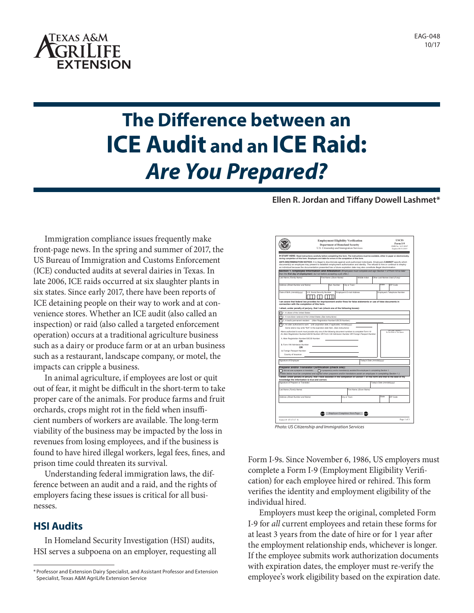

# **The Difference between an ICE Audit and an ICE Raid:** *Are You Prepared?*

#### **Ellen R. Jordan and Tiffany Dowell Lashmet\***

Immigration compliance issues frequently make front-page news. In the spring and summer of 2017, the US Bureau of Immigration and Customs Enforcement (ICE) conducted audits at several dairies in Texas. In late 2006, ICE raids occurred at six slaughter plants in six states. Since early 2017, there have been reports of ICE detaining people on their way to work and at convenience stores. Whether an ICE audit (also called an inspection) or raid (also called a targeted enforcement operation) occurs at a traditional agriculture business such as a dairy or produce farm or at an urban business such as a restaurant, landscape company, or motel, the impacts can cripple a business.

In animal agriculture, if employees are lost or quit out of fear, it might be difficult in the short-term to take proper care of the animals. For produce farms and fruit orchards, crops might rot in the field when insufficient numbers of workers are available. The long-term viability of the business may be impacted by the loss in revenues from losing employees, and if the business is found to have hired illegal workers, legal fees, fines, and prison time could threaten its survival.

Understanding federal immigration laws, the difference between an audit and a raid, and the rights of employers facing these issues is critical for all businesses.

## **HSI Audits**

In Homeland Security Investigation (HSI) audits, HSI serves a subpoena on an employer, requesting all



Form I-9s. Since November 6, 1986, US employers must complete a Form I-9 (Employment Eligibility Verification) for each employee hired or rehired. This form verifies the identity and employment eligibility of the individual hired.

Employers must keep the original, completed Form I-9 for *all* current employees and retain these forms for at least 3 years from the date of hire or for 1 year after the employment relationship ends, whichever is longer. If the employee submits work authorization documents with expiration dates, the employer must re-verify the employee's work eligibility based on the expiration date.

<sup>\*</sup> Professor and Extension Dairy Specialist, and Assistant Professor and Extension Specialist, Texas A&M AgriLife Extension Service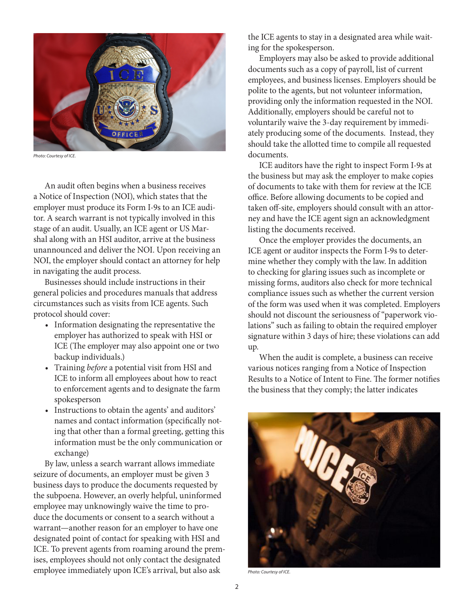

*Photo: Courtesy of ICE.*

An audit often begins when a business receives a Notice of Inspection (NOI), which states that the employer must produce its Form I-9s to an ICE auditor. A search warrant is not typically involved in this stage of an audit. Usually, an ICE agent or US Marshal along with an HSI auditor, arrive at the business unannounced and deliver the NOI. Upon receiving an NOI, the employer should contact an attorney for help in navigating the audit process.

Businesses should include instructions in their general policies and procedures manuals that address circumstances such as visits from ICE agents. Such protocol should cover:

- Information designating the representative the employer has authorized to speak with HSI or ICE (The employer may also appoint one or two backup individuals.)
- Training *before* a potential visit from HSI and ICE to inform all employees about how to react to enforcement agents and to designate the farm spokesperson
- Instructions to obtain the agents' and auditors' names and contact information (specifically noting that other than a formal greeting, getting this information must be the only communication or exchange)

By law, unless a search warrant allows immediate seizure of documents, an employer must be given 3 business days to produce the documents requested by the subpoena. However, an overly helpful, uninformed employee may unknowingly waive the time to produce the documents or consent to a search without a warrant—another reason for an employer to have one designated point of contact for speaking with HSI and ICE. To prevent agents from roaming around the premises, employees should not only contact the designated employee immediately upon ICE's arrival, but also ask

the ICE agents to stay in a designated area while waiting for the spokesperson.

Employers may also be asked to provide additional documents such as a copy of payroll, list of current employees, and business licenses. Employers should be polite to the agents, but not volunteer information, providing only the information requested in the NOI. Additionally, employers should be careful not to voluntarily waive the 3-day requirement by immediately producing some of the documents. Instead, they should take the allotted time to compile all requested documents.

ICE auditors have the right to inspect Form I-9s at the business but may ask the employer to make copies of documents to take with them for review at the ICE office. Before allowing documents to be copied and taken off-site, employers should consult with an attorney and have the ICE agent sign an acknowledgment listing the documents received.

Once the employer provides the documents, an ICE agent or auditor inspects the Form I-9s to determine whether they comply with the law. In addition to checking for glaring issues such as incomplete or missing forms, auditors also check for more technical compliance issues such as whether the current version of the form was used when it was completed. Employers should not discount the seriousness of "paperwork violations" such as failing to obtain the required employer signature within 3 days of hire; these violations can add up.

When the audit is complete, a business can receive various notices ranging from a Notice of Inspection Results to a Notice of Intent to Fine. The former notifies the business that they comply; the latter indicates



*Photo: Courtesy of ICE.*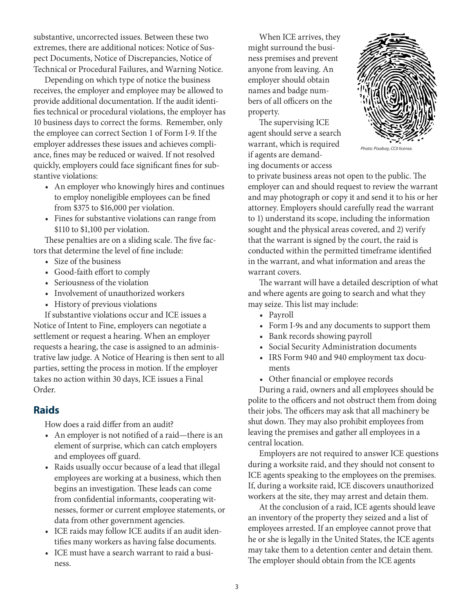substantive, uncorrected issues. Between these two extremes, there are additional notices: Notice of Suspect Documents, Notice of Discrepancies, Notice of Technical or Procedural Failures, and Warning Notice.

Depending on which type of notice the business receives, the employer and employee may be allowed to provide additional documentation. If the audit identifies technical or procedural violations, the employer has 10 business days to correct the forms. Remember, only the employee can correct Section 1 of Form I-9. If the employer addresses these issues and achieves compliance, fines may be reduced or waived. If not resolved quickly, employers could face significant fines for substantive violations:

- An employer who knowingly hires and continues to employ noneligible employees can be fined from \$375 to \$16,000 per violation.
- Fines for substantive violations can range from \$110 to \$1,100 per violation.

These penalties are on a sliding scale. The five factors that determine the level of fine include:

- Size of the business
- Good-faith effort to comply
- Seriousness of the violation
- Involvement of unauthorized workers
- History of previous violations

If substantive violations occur and ICE issues a Notice of Intent to Fine, employers can negotiate a settlement or request a hearing. When an employer requests a hearing, the case is assigned to an administrative law judge. A Notice of Hearing is then sent to all parties, setting the process in motion. If the employer takes no action within 30 days, ICE issues a Final Order.

## **Raids**

How does a raid differ from an audit?

- An employer is not notified of a raid—there is an element of surprise, which can catch employers and employees off guard.
- Raids usually occur because of a lead that illegal employees are working at a business, which then begins an investigation. These leads can come from confidential informants, cooperating witnesses, former or current employee statements, or data from other government agencies.
- ICE raids may follow ICE audits if an audit identifies many workers as having false documents.
- ICE must have a search warrant to raid a business.

When ICE arrives, they might surround the business premises and prevent anyone from leaving. An employer should obtain names and badge numbers of all officers on the property.

The supervising ICE agent should serve a search warrant, which is required if agents are demanding documents or access



*Photo: Pixabay, CC0 license.*

to private business areas not open to the public. The employer can and should request to review the warrant and may photograph or copy it and send it to his or her attorney. Employers should carefully read the warrant to 1) understand its scope, including the information sought and the physical areas covered, and 2) verify that the warrant is signed by the court, the raid is conducted within the permitted timeframe identified in the warrant, and what information and areas the warrant covers.

The warrant will have a detailed description of what and where agents are going to search and what they may seize. This list may include:

- Payroll
- Form I-9s and any documents to support them
- Bank records showing payroll
- Social Security Administration documents
- IRS Form 940 and 940 employment tax documents
- Other financial or employee records

During a raid, owners and all employees should be polite to the officers and not obstruct them from doing their jobs. The officers may ask that all machinery be shut down. They may also prohibit employees from leaving the premises and gather all employees in a central location.

Employers are not required to answer ICE questions during a worksite raid, and they should not consent to ICE agents speaking to the employees on the premises. If, during a worksite raid, ICE discovers unauthorized workers at the site, they may arrest and detain them.

At the conclusion of a raid, ICE agents should leave an inventory of the property they seized and a list of employees arrested. If an employee cannot prove that he or she is legally in the United States, the ICE agents may take them to a detention center and detain them. The employer should obtain from the ICE agents